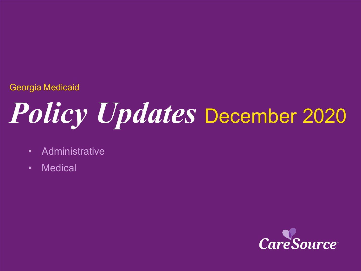### Georgia Medicaid

# *Policy Updates* December <sup>2020</sup>

- Administrative
- Medical

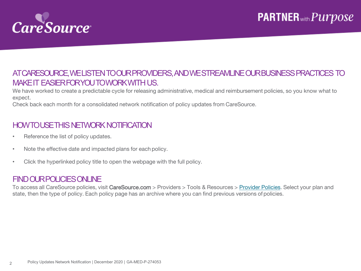

#### AT CARESOURCE, WE LISTEN TO OUR PROVIDERS, AND WE STREAMLINE OUR BUSINESS PRACTICES TO MAKE IT EASIER FOR YOU TO WORK WITH US.

We have worked to create a predictable cycle for releasing administrative, medical and reimbursement policies, so you know what to expect.

Check back each month for a consolidated network notification of policy updates from CareSource.

#### HOW TO USE THIS NETWORK NOTIFICATION

- Reference the list of policy updates.
- Note the effective date and impacted plans for each policy.
- Click the hyperlinked policy title to open the webpage with the full policy.

#### FIND OUR POLICIESONLINE

To access all CareSource policies, visit CareSource.com > Providers > Tools & Resources > [Provider Policies](https://www.caresource.com/providers/tools-resources/health-partner-policies/). Select your plan and state, then the type of policy. Each policy page has an archive where you can find previous versions of policies.